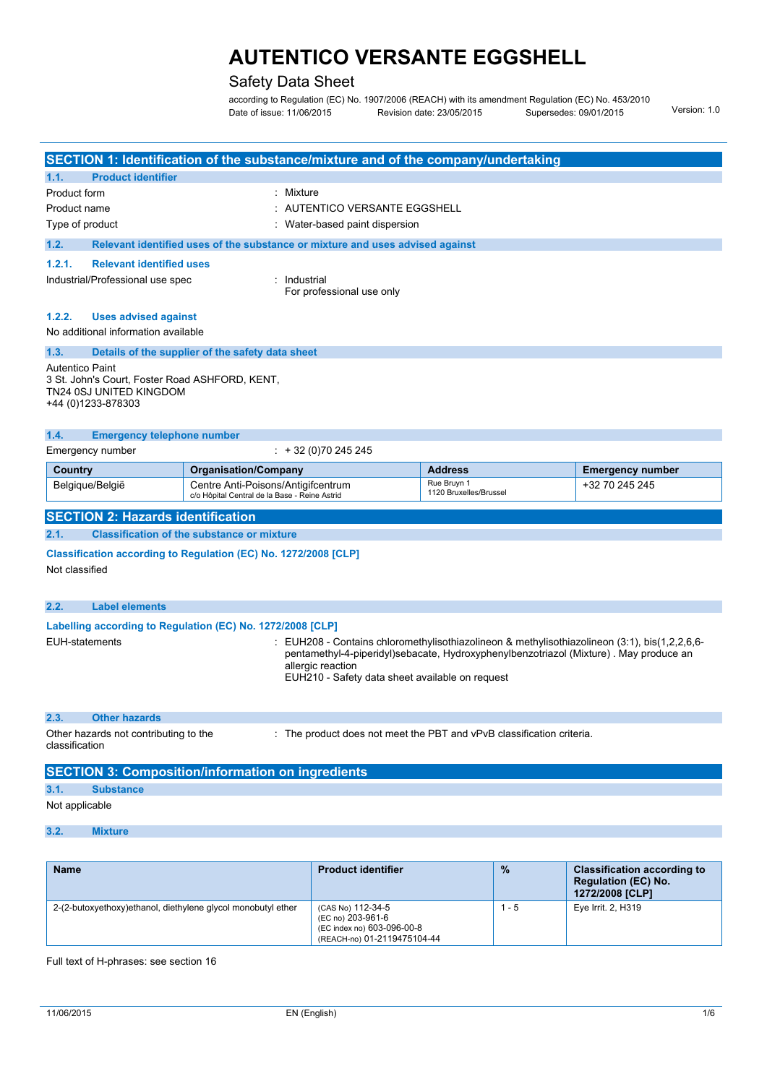### Safety Data Sheet

according to Regulation (EC) No. 1907/2006 (REACH) with its amendment Regulation (EC) No. 453/2010<br>1.0 Version: 1.0 Date of issue: 11/06/2015 Supersedes: 09/01/2015

|                        |                                                                                                 |                                                                                     | SECTION 1: Identification of the substance/mixture and of the company/undertaking |                                                                                                                                                                                      |                         |
|------------------------|-------------------------------------------------------------------------------------------------|-------------------------------------------------------------------------------------|-----------------------------------------------------------------------------------|--------------------------------------------------------------------------------------------------------------------------------------------------------------------------------------|-------------------------|
| 1.1.                   | <b>Product identifier</b>                                                                       |                                                                                     |                                                                                   |                                                                                                                                                                                      |                         |
| Product form           |                                                                                                 |                                                                                     | Mixture                                                                           |                                                                                                                                                                                      |                         |
| Product name           |                                                                                                 |                                                                                     | AUTENTICO VERSANTE EGGSHELL                                                       |                                                                                                                                                                                      |                         |
| Type of product        |                                                                                                 |                                                                                     | Water-based paint dispersion                                                      |                                                                                                                                                                                      |                         |
| 1.2.                   |                                                                                                 |                                                                                     | Relevant identified uses of the substance or mixture and uses advised against     |                                                                                                                                                                                      |                         |
| 1.2.1.                 | <b>Relevant identified uses</b>                                                                 |                                                                                     |                                                                                   |                                                                                                                                                                                      |                         |
|                        | Industrial/Professional use spec                                                                |                                                                                     | : Industrial<br>For professional use only                                         |                                                                                                                                                                                      |                         |
| 1.2.2.                 | <b>Uses advised against</b>                                                                     |                                                                                     |                                                                                   |                                                                                                                                                                                      |                         |
|                        | No additional information available                                                             |                                                                                     |                                                                                   |                                                                                                                                                                                      |                         |
| 1.3.                   |                                                                                                 | Details of the supplier of the safety data sheet                                    |                                                                                   |                                                                                                                                                                                      |                         |
| <b>Autentico Paint</b> | 3 St. John's Court, Foster Road ASHFORD, KENT,<br>TN24 0SJ UNITED KINGDOM<br>+44 (0)1233-878303 |                                                                                     |                                                                                   |                                                                                                                                                                                      |                         |
| 1.4.                   | <b>Emergency telephone number</b>                                                               |                                                                                     |                                                                                   |                                                                                                                                                                                      |                         |
|                        | Emergency number                                                                                |                                                                                     | $\div$ + 32 (0)70 245 245                                                         |                                                                                                                                                                                      |                         |
| Country                |                                                                                                 | <b>Organisation/Company</b>                                                         |                                                                                   | <b>Address</b>                                                                                                                                                                       | <b>Emergency number</b> |
|                        | Belgique/België                                                                                 | Centre Anti-Poisons/Antigifcentrum<br>c/o Hôpital Central de la Base - Reine Astrid |                                                                                   | Rue Bruyn 1<br>1120 Bruxelles/Brussel                                                                                                                                                | +32 70 245 245          |
|                        | <b>SECTION 2: Hazards identification</b>                                                        |                                                                                     |                                                                                   |                                                                                                                                                                                      |                         |
| 2.1.                   |                                                                                                 | <b>Classification of the substance or mixture</b>                                   |                                                                                   |                                                                                                                                                                                      |                         |
| Not classified         | Classification according to Regulation (EC) No. 1272/2008 [CLP]                                 |                                                                                     |                                                                                   |                                                                                                                                                                                      |                         |
| 2.2.                   | <b>Label elements</b>                                                                           |                                                                                     |                                                                                   |                                                                                                                                                                                      |                         |
|                        | Labelling according to Regulation (EC) No. 1272/2008 [CLP]                                      |                                                                                     |                                                                                   |                                                                                                                                                                                      |                         |
| EUH-statements         |                                                                                                 |                                                                                     | allergic reaction<br>EUH210 - Safety data sheet available on request              | EUH208 - Contains chloromethylisothiazolineon & methylisothiazolineon (3:1), bis(1,2,2,6,6-<br>pentamethyl-4-piperidyl)sebacate, Hydroxyphenylbenzotriazol (Mixture). May produce an |                         |
| 2.3.                   | <b>Other hazards</b>                                                                            |                                                                                     |                                                                                   |                                                                                                                                                                                      |                         |
| classification         | Other hazards not contributing to the                                                           |                                                                                     |                                                                                   | : The product does not meet the PBT and vPvB classification criteria.                                                                                                                |                         |
|                        | <b>SECTION 3: Composition/information on ingredients</b>                                        |                                                                                     |                                                                                   |                                                                                                                                                                                      |                         |
| 3.1.                   | <b>Substance</b>                                                                                |                                                                                     |                                                                                   |                                                                                                                                                                                      |                         |
| Not applicable         |                                                                                                 |                                                                                     |                                                                                   |                                                                                                                                                                                      |                         |
| 3.2.                   | <b>Mixture</b>                                                                                  |                                                                                     |                                                                                   |                                                                                                                                                                                      |                         |
|                        |                                                                                                 |                                                                                     |                                                                                   |                                                                                                                                                                                      |                         |
|                        |                                                                                                 |                                                                                     |                                                                                   |                                                                                                                                                                                      |                         |

| <b>Name</b>                                                  | <b>Product identifier</b>                                                                           | $\frac{9}{6}$ | <b>Classification according to</b><br><b>Regulation (EC) No.</b><br><b>1272/2008 [CLP]</b> |
|--------------------------------------------------------------|-----------------------------------------------------------------------------------------------------|---------------|--------------------------------------------------------------------------------------------|
| 2-(2-butoxyethoxy)ethanol, diethylene glycol monobutyl ether | (CAS No) 112-34-5<br>(EC no) 203-961-6<br>(EC index no) 603-096-00-8<br>(REACH-no) 01-2119475104-44 | - 5           | Eye Irrit. 2, H319                                                                         |

Full text of H-phrases: see section 16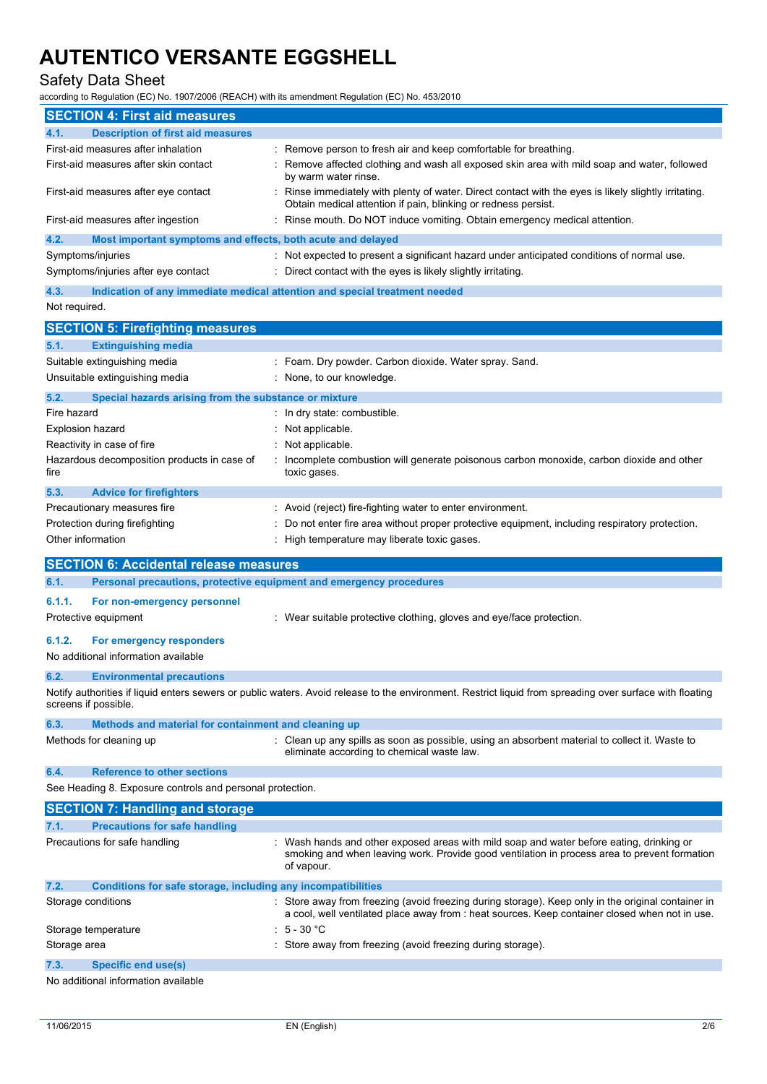#### Safety Data Sheet

according to Regulation (EC) No. 1907/2006 (REACH) with its amendment Regulation (EC) No. 453/2010

|                         | <b>SECTION 4: First aid measures</b>                                |                                                                                                                                                                                                      |
|-------------------------|---------------------------------------------------------------------|------------------------------------------------------------------------------------------------------------------------------------------------------------------------------------------------------|
| 4.1.                    | <b>Description of first aid measures</b>                            |                                                                                                                                                                                                      |
|                         | First-aid measures after inhalation                                 | Remove person to fresh air and keep comfortable for breathing.                                                                                                                                       |
|                         | First-aid measures after skin contact                               | Remove affected clothing and wash all exposed skin area with mild soap and water, followed<br>by warm water rinse.                                                                                   |
|                         | First-aid measures after eye contact                                | Rinse immediately with plenty of water. Direct contact with the eyes is likely slightly irritating.<br>Obtain medical attention if pain, blinking or redness persist.                                |
|                         | First-aid measures after ingestion                                  | Rinse mouth. Do NOT induce vomiting. Obtain emergency medical attention.                                                                                                                             |
| 4.2.                    | Most important symptoms and effects, both acute and delayed         |                                                                                                                                                                                                      |
|                         | Symptoms/injuries                                                   | Not expected to present a significant hazard under anticipated conditions of normal use.                                                                                                             |
|                         | Symptoms/injuries after eye contact                                 | Direct contact with the eyes is likely slightly irritating.                                                                                                                                          |
| 4.3.                    |                                                                     | Indication of any immediate medical attention and special treatment needed                                                                                                                           |
| Not required.           |                                                                     |                                                                                                                                                                                                      |
|                         | <b>SECTION 5: Firefighting measures</b>                             |                                                                                                                                                                                                      |
| 5.1.                    | <b>Extinguishing media</b>                                          |                                                                                                                                                                                                      |
|                         | Suitable extinguishing media                                        | : Foam. Dry powder. Carbon dioxide. Water spray. Sand.                                                                                                                                               |
|                         | Unsuitable extinguishing media                                      | None, to our knowledge.                                                                                                                                                                              |
| 5.2.                    | Special hazards arising from the substance or mixture               |                                                                                                                                                                                                      |
| Fire hazard             |                                                                     | In dry state: combustible.                                                                                                                                                                           |
| <b>Explosion hazard</b> |                                                                     | Not applicable.                                                                                                                                                                                      |
|                         | Reactivity in case of fire                                          | Not applicable.                                                                                                                                                                                      |
| fire                    | Hazardous decomposition products in case of                         | Incomplete combustion will generate poisonous carbon monoxide, carbon dioxide and other<br>toxic gases.                                                                                              |
| 5.3.                    | <b>Advice for firefighters</b>                                      |                                                                                                                                                                                                      |
|                         | Precautionary measures fire                                         | : Avoid (reject) fire-fighting water to enter environment.                                                                                                                                           |
|                         | Protection during firefighting                                      | Do not enter fire area without proper protective equipment, including respiratory protection.                                                                                                        |
| Other information       |                                                                     | : High temperature may liberate toxic gases.                                                                                                                                                         |
|                         | <b>SECTION 6: Accidental release measures</b>                       |                                                                                                                                                                                                      |
| 6.1.                    | Personal precautions, protective equipment and emergency procedures |                                                                                                                                                                                                      |
| 6.1.1.                  | For non-emergency personnel                                         |                                                                                                                                                                                                      |
|                         | Protective equipment                                                | : Wear suitable protective clothing, gloves and eye/face protection.                                                                                                                                 |
| 6.1.2.                  | For emergency responders                                            |                                                                                                                                                                                                      |
|                         | No additional information available                                 |                                                                                                                                                                                                      |
| 6.2.                    | <b>Environmental precautions</b>                                    |                                                                                                                                                                                                      |
|                         | screens if possible.                                                | Notify authorities if liquid enters sewers or public waters. Avoid release to the environment. Restrict liquid from spreading over surface with floating                                             |
| 6.3.                    | Methods and material for containment and cleaning up                |                                                                                                                                                                                                      |
|                         | Methods for cleaning up                                             | : Clean up any spills as soon as possible, using an absorbent material to collect it. Waste to<br>eliminate according to chemical waste law.                                                         |
| 6.4.                    | <b>Reference to other sections</b>                                  |                                                                                                                                                                                                      |
|                         | See Heading 8. Exposure controls and personal protection.           |                                                                                                                                                                                                      |
|                         | <b>SECTION 7: Handling and storage</b>                              |                                                                                                                                                                                                      |
| 7.1.                    | <b>Precautions for safe handling</b>                                |                                                                                                                                                                                                      |
|                         | Precautions for safe handling                                       | Wash hands and other exposed areas with mild soap and water before eating, drinking or<br>smoking and when leaving work. Provide good ventilation in process area to prevent formation<br>of vapour. |
| 7.2.                    | Conditions for safe storage, including any incompatibilities        |                                                                                                                                                                                                      |
|                         | Storage conditions                                                  | : Store away from freezing (avoid freezing during storage). Keep only in the original container in<br>a cool, well ventilated place away from : heat sources. Keep container closed when not in use. |
|                         | Storage temperature                                                 | $5 - 30 °C$                                                                                                                                                                                          |
|                         |                                                                     |                                                                                                                                                                                                      |
| Storage area            |                                                                     | Store away from freezing (avoid freezing during storage).                                                                                                                                            |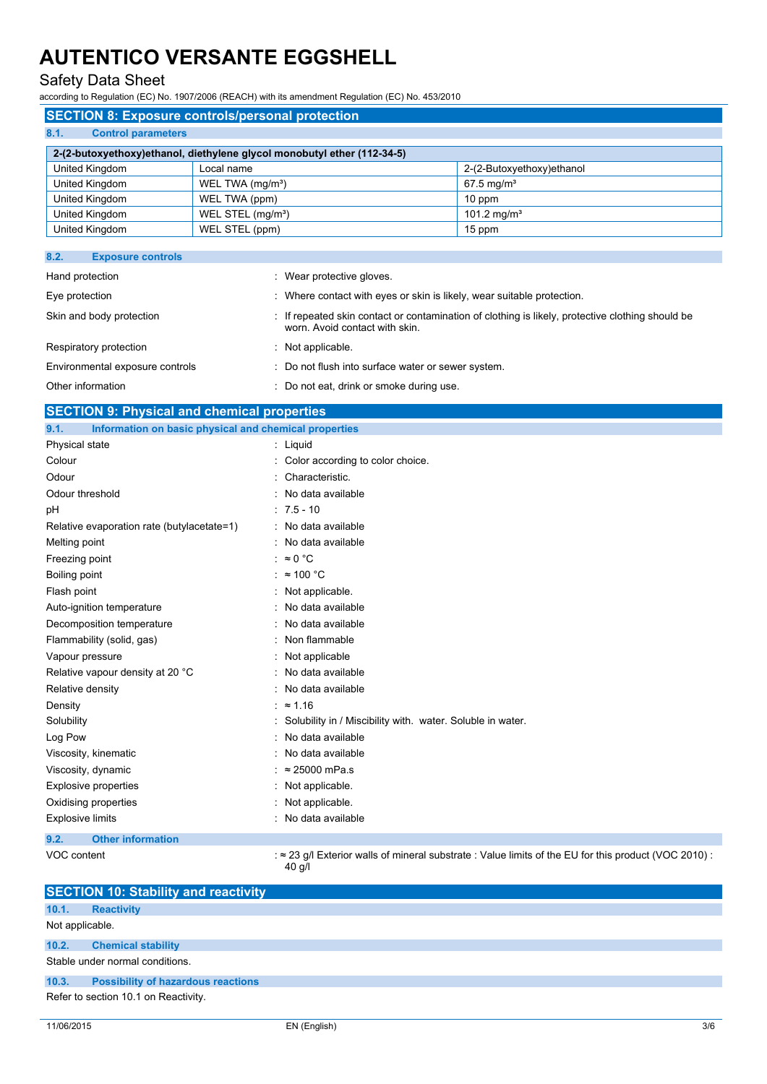#### Safety Data Sheet

according to Regulation (EC) No. 1907/2006 (REACH) with its amendment Regulation (EC) No. 453/2010

#### **SECTION 8: Exposure controls/personal protection**

|--|

| 2-(2-butoxyethoxy)ethanol, diethylene glycol monobutyl ether (112-34-5) |                               |                           |
|-------------------------------------------------------------------------|-------------------------------|---------------------------|
| United Kingdom                                                          | Local name                    | 2-(2-Butoxyethoxy)ethanol |
| United Kingdom                                                          | WEL TWA (mg/m <sup>3</sup> )  | $67.5 \,\mathrm{mq/m^3}$  |
| United Kingdom                                                          | WEL TWA (ppm)                 | $10$ ppm                  |
| United Kingdom                                                          | WEL STEL (mg/m <sup>3</sup> ) | 101.2 mg/m <sup>3</sup>   |
| United Kingdom                                                          | WEL STEL (ppm)                | 15 ppm                    |

| 8.2.<br><b>Exposure controls</b> |                                                                                                                                    |
|----------------------------------|------------------------------------------------------------------------------------------------------------------------------------|
| Hand protection                  | : Wear protective gloves.                                                                                                          |
| Eye protection                   | : Where contact with eyes or skin is likely, wear suitable protection.                                                             |
| Skin and body protection         | : If repeated skin contact or contamination of clothing is likely, protective clothing should be<br>worn. Avoid contact with skin. |
| Respiratory protection           | $\therefore$ Not applicable.                                                                                                       |
| Environmental exposure controls  | : Do not flush into surface water or sewer system.                                                                                 |
| Other information                | : Do not eat, drink or smoke during use.                                                                                           |

| Other information                                             | : Do not eat, drink or smoke during use.                     |
|---------------------------------------------------------------|--------------------------------------------------------------|
| <b>SECTION 9: Physical and chemical properties</b>            |                                                              |
| 9.1.<br>Information on basic physical and chemical properties |                                                              |
| Physical state                                                | : Liquid                                                     |
| Colour                                                        | : Color according to color choice.                           |
| Odour                                                         | : Characteristic.                                            |
| Odour threshold                                               | : No data available                                          |
| pH                                                            | $: 7.5 - 10$                                                 |
| Relative evaporation rate (butylacetate=1)                    | : No data available                                          |
| Melting point                                                 | : No data available                                          |
| Freezing point                                                | : $\approx 0$ °C                                             |
| Boiling point                                                 | : $\approx 100 \degree C$                                    |
| Flash point                                                   | : Not applicable.                                            |
| Auto-ignition temperature                                     | : No data available                                          |
| Decomposition temperature                                     | : No data available                                          |
| Flammability (solid, gas)                                     | : Non flammable                                              |
| Vapour pressure                                               | : Not applicable                                             |
| Relative vapour density at 20 °C                              | : No data available                                          |
| Relative density                                              | : No data available                                          |
| Density                                                       | : $\approx 1.16$                                             |
| Solubility                                                    | : Solubility in / Miscibility with. water. Soluble in water. |
| Log Pow                                                       | : No data available                                          |
| Viscosity, kinematic                                          | : No data available                                          |
|                                                               |                                                              |

Viscosity, dynamic : ≈ 25000 mPa.s Explosive properties in the set of the state of the September 2011 in the September 2016 in the September 2016 Oxidising properties : Not applicable. Explosive limits **Explosive limits Explosive limits Explosive limits Explosive limits EXPLOSIVE 2018** 

**9.2. Other information**

VOC content : ≈ 23 g/l Exterior walls of mineral substrate : Value limits of the EU for this product (VOC 2010) : 40 g/l

| <b>SECTION 10: Stability and reactivity</b> |                                           |  |  |
|---------------------------------------------|-------------------------------------------|--|--|
| 10.1.                                       | <b>Reactivity</b>                         |  |  |
| Not applicable.                             |                                           |  |  |
| 10.2.                                       | <b>Chemical stability</b>                 |  |  |
| Stable under normal conditions.             |                                           |  |  |
| 10.3.                                       | <b>Possibility of hazardous reactions</b> |  |  |
|                                             | Refer to section 10.1 on Reactivity.      |  |  |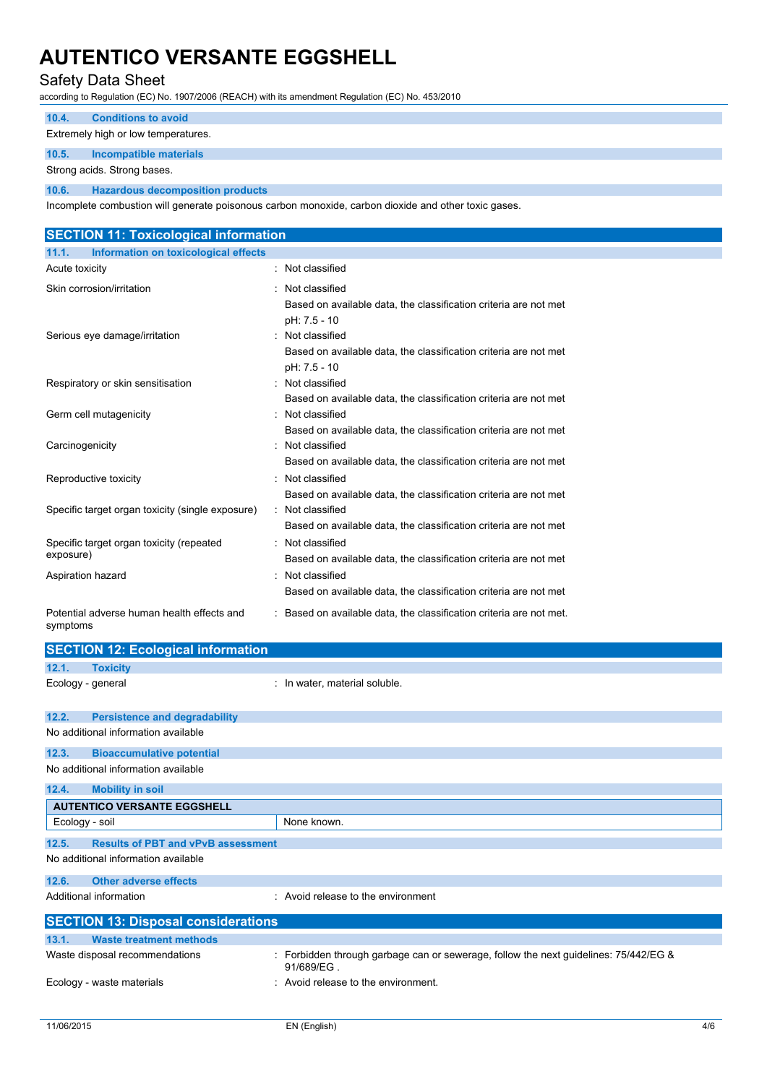#### Safety Data Sheet

according to Regulation (EC) No. 1907/2006 (REACH) with its amendment Regulation (EC) No. 453/2010

### **10.4. Conditions to avoid**

Extremely high or low temperatures.

#### **10.5. Incompatible materials**

Strong acids. Strong bases.

**10.6. Hazardous decomposition products**

Incomplete combustion will generate poisonous carbon monoxide, carbon dioxide and other toxic gases.

| <b>SECTION 11: Toxicological information</b>           |                                                                                                      |
|--------------------------------------------------------|------------------------------------------------------------------------------------------------------|
| Information on toxicological effects<br>11.1.          |                                                                                                      |
| Acute toxicity                                         | : Not classified                                                                                     |
| Skin corrosion/irritation                              | : Not classified<br>Based on available data, the classification criteria are not met<br>pH: 7.5 - 10 |
| Serious eye damage/irritation                          | : Not classified<br>Based on available data, the classification criteria are not met<br>pH: 7.5 - 10 |
| Respiratory or skin sensitisation                      | : Not classified<br>Based on available data, the classification criteria are not met                 |
| Germ cell mutagenicity                                 | : Not classified<br>Based on available data, the classification criteria are not met                 |
| Carcinogenicity                                        | Not classified<br>Based on available data, the classification criteria are not met                   |
| Reproductive toxicity                                  | : Not classified<br>Based on available data, the classification criteria are not met                 |
| Specific target organ toxicity (single exposure)       | : Not classified<br>Based on available data, the classification criteria are not met                 |
| Specific target organ toxicity (repeated<br>exposure)  | Not classified<br>Based on available data, the classification criteria are not met                   |
| Aspiration hazard                                      | : Not classified<br>Based on available data, the classification criteria are not met                 |
| Potential adverse human health effects and<br>symptoms | : Based on available data, the classification criteria are not met.                                  |
| <b>SECTION 12: Ecological information</b>              |                                                                                                      |
| 12.1.<br><b>Toxicity</b>                               |                                                                                                      |
| Ecology - general                                      | : In water, material soluble.                                                                        |

| 12.2.          | <b>Persistence and degradability</b>       |                                                                                                      |  |
|----------------|--------------------------------------------|------------------------------------------------------------------------------------------------------|--|
|                | No additional information available        |                                                                                                      |  |
| 12.3.          | <b>Bioaccumulative potential</b>           |                                                                                                      |  |
|                | No additional information available        |                                                                                                      |  |
| 12.4.          | <b>Mobility in soil</b>                    |                                                                                                      |  |
|                | <b>AUTENTICO VERSANTE EGGSHELL</b>         |                                                                                                      |  |
| Ecology - soil |                                            | None known.                                                                                          |  |
|                |                                            |                                                                                                      |  |
| 12.5.          | <b>Results of PBT and vPvB assessment</b>  |                                                                                                      |  |
|                | No additional information available        |                                                                                                      |  |
| 12.6.          | <b>Other adverse effects</b>               |                                                                                                      |  |
|                | Additional information                     | : Avoid release to the environment                                                                   |  |
|                | <b>SECTION 13: Disposal considerations</b> |                                                                                                      |  |
| 13.1.          | <b>Waste treatment methods</b>             |                                                                                                      |  |
|                | Waste disposal recommendations             | : Forbidden through garbage can or sewerage, follow the next guidelines: $75/442/EG$ &<br>91/689/EG. |  |
|                | Ecology - waste materials                  | : Avoid release to the environment.                                                                  |  |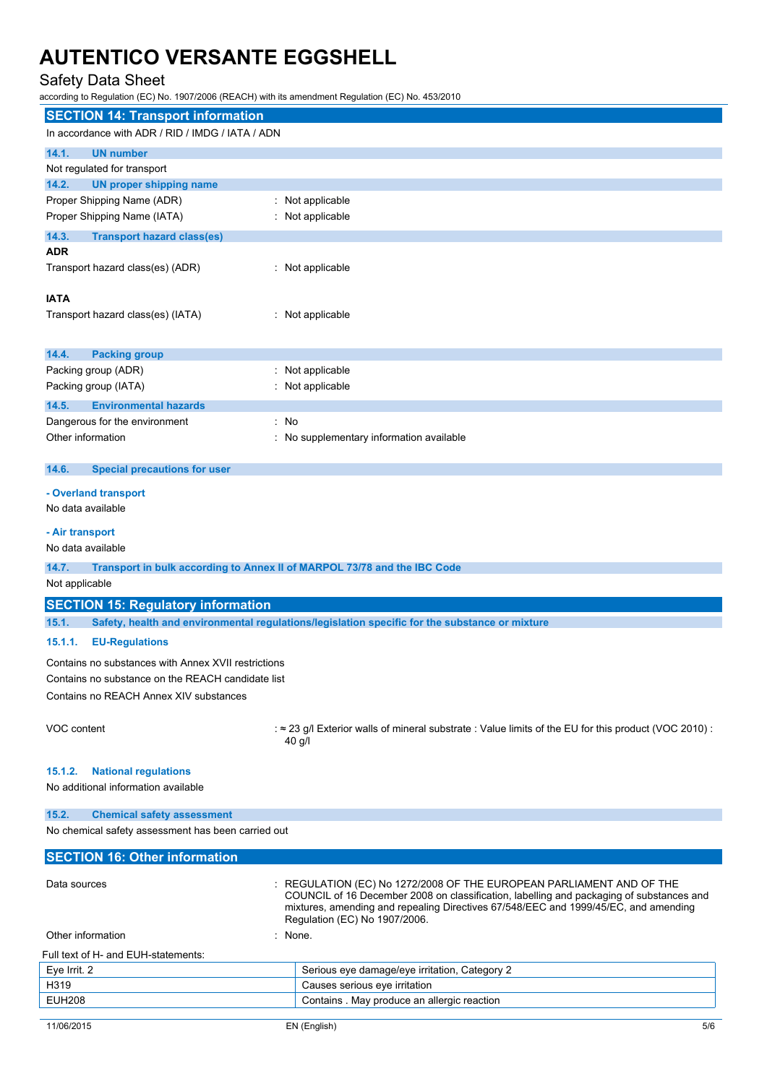### Safety Data Sheet

according to Regulation (EC) No. 1907/2006 (REACH) with its amendment Regulation (EC) No. 453/2010

| <b>SECTION 14: Transport information</b>                                          |                                                                                                                      |  |  |
|-----------------------------------------------------------------------------------|----------------------------------------------------------------------------------------------------------------------|--|--|
| In accordance with ADR / RID / IMDG / IATA / ADN                                  |                                                                                                                      |  |  |
| 14.1.<br><b>UN number</b>                                                         |                                                                                                                      |  |  |
| Not regulated for transport                                                       |                                                                                                                      |  |  |
| 14.2.<br><b>UN proper shipping name</b>                                           |                                                                                                                      |  |  |
| Proper Shipping Name (ADR)                                                        | : Not applicable                                                                                                     |  |  |
| Proper Shipping Name (IATA)                                                       | : Not applicable                                                                                                     |  |  |
| 14.3.<br><b>Transport hazard class(es)</b>                                        |                                                                                                                      |  |  |
| <b>ADR</b>                                                                        |                                                                                                                      |  |  |
| Transport hazard class(es) (ADR)                                                  | : Not applicable                                                                                                     |  |  |
|                                                                                   |                                                                                                                      |  |  |
| <b>IATA</b>                                                                       |                                                                                                                      |  |  |
| Transport hazard class(es) (IATA)                                                 | : Not applicable                                                                                                     |  |  |
|                                                                                   |                                                                                                                      |  |  |
| 14.4.<br><b>Packing group</b>                                                     |                                                                                                                      |  |  |
| Packing group (ADR)                                                               | : Not applicable                                                                                                     |  |  |
| Packing group (IATA)                                                              | : Not applicable                                                                                                     |  |  |
| 14.5.<br><b>Environmental hazards</b>                                             |                                                                                                                      |  |  |
| Dangerous for the environment<br>: No                                             |                                                                                                                      |  |  |
| Other information                                                                 | : No supplementary information available                                                                             |  |  |
| 14.6.<br><b>Special precautions for user</b>                                      |                                                                                                                      |  |  |
|                                                                                   |                                                                                                                      |  |  |
| - Overland transport                                                              |                                                                                                                      |  |  |
| No data available                                                                 |                                                                                                                      |  |  |
| - Air transport                                                                   |                                                                                                                      |  |  |
| No data available                                                                 |                                                                                                                      |  |  |
| 14.7.<br>Transport in bulk according to Annex II of MARPOL 73/78 and the IBC Code |                                                                                                                      |  |  |
| Not applicable                                                                    |                                                                                                                      |  |  |
| <b>SECTION 15: Regulatory information</b>                                         |                                                                                                                      |  |  |
| 15.1.                                                                             | Safety, health and environmental regulations/legislation specific for the substance or mixture                       |  |  |
| 15.1.1.<br><b>EU-Regulations</b>                                                  |                                                                                                                      |  |  |
| Contains no substances with Annex XVII restrictions                               |                                                                                                                      |  |  |
| Contains no substance on the REACH candidate list                                 |                                                                                                                      |  |  |
| Contains no REACH Annex XIV substances                                            |                                                                                                                      |  |  |
|                                                                                   |                                                                                                                      |  |  |
| VOC content                                                                       | : $\approx$ 23 g/l Exterior walls of mineral substrate : Value limits of the EU for this product (VOC 2010):         |  |  |
|                                                                                   | $40$ g/l                                                                                                             |  |  |
|                                                                                   |                                                                                                                      |  |  |
| 15.1.2.<br><b>National regulations</b>                                            |                                                                                                                      |  |  |
| No additional information available                                               |                                                                                                                      |  |  |
| 15.2.<br><b>Chemical safety assessment</b>                                        |                                                                                                                      |  |  |
| No chemical safety assessment has been carried out                                |                                                                                                                      |  |  |
|                                                                                   |                                                                                                                      |  |  |
| <b>SECTION 16: Other information</b>                                              |                                                                                                                      |  |  |
| Data sources                                                                      | REGULATION (EC) No 1272/2008 OF THE EUROPEAN PARLIAMENT AND OF THE                                                   |  |  |
|                                                                                   | COUNCIL of 16 December 2008 on classification, labelling and packaging of substances and                             |  |  |
|                                                                                   | mixtures, amending and repealing Directives 67/548/EEC and 1999/45/EC, and amending<br>Regulation (EC) No 1907/2006. |  |  |
| Other information                                                                 | : None.                                                                                                              |  |  |
| Full text of H- and EUH-statements:                                               |                                                                                                                      |  |  |
| Eye Irrit. 2                                                                      | Serious eye damage/eye irritation, Category 2                                                                        |  |  |
| H319                                                                              | Causes serious eye irritation                                                                                        |  |  |

EUH208 Contains . May produce an allergic reaction